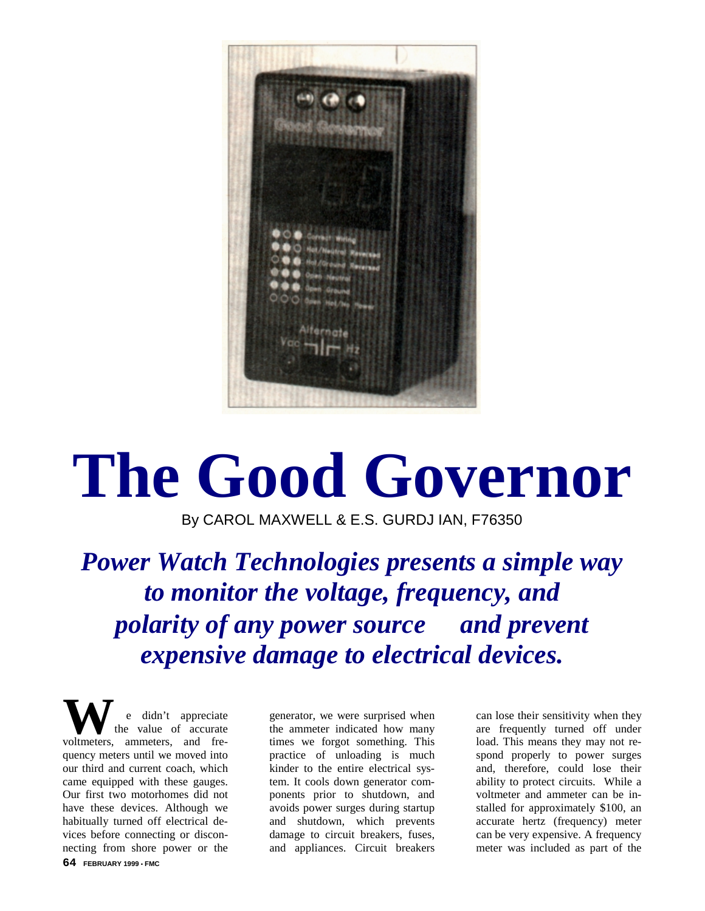

## **The Good Governor**

By CAROL MAXWELL & E.S. GURDJ IAN, F76350

*Power Watch Technologies presents a simple way to monitor the voltage, frequency, and polarity of any power source and prevent expensive damage to electrical devices.*

didn't appreciate the value of accurate We didn't appreciate<br>voltmeters, ammeters, and frequency meters until we moved into our third and current coach, which came equipped with these gauges. Our first two motorhomes did not have these devices. Although we habitually turned off electrical devices before connecting or disconnecting from shore power or the

generator, we were surprised when the ammeter indicated how many times we forgot something. This practice of unloading is much kinder to the entire electrical system. It cools down generator components prior to shutdown, and avoids power surges during startup and shutdown, which prevents damage to circuit breakers, fuses, and appliances. Circuit breakers

can lose their sensitivity when they are frequently turned off under load. This means they may not respond properly to power surges and, therefore, could lose their ability to protect circuits. While a voltmeter and ammeter can be installed for approximately \$100, an accurate hertz (frequency) meter can be very expensive. A frequency meter was included as part of the